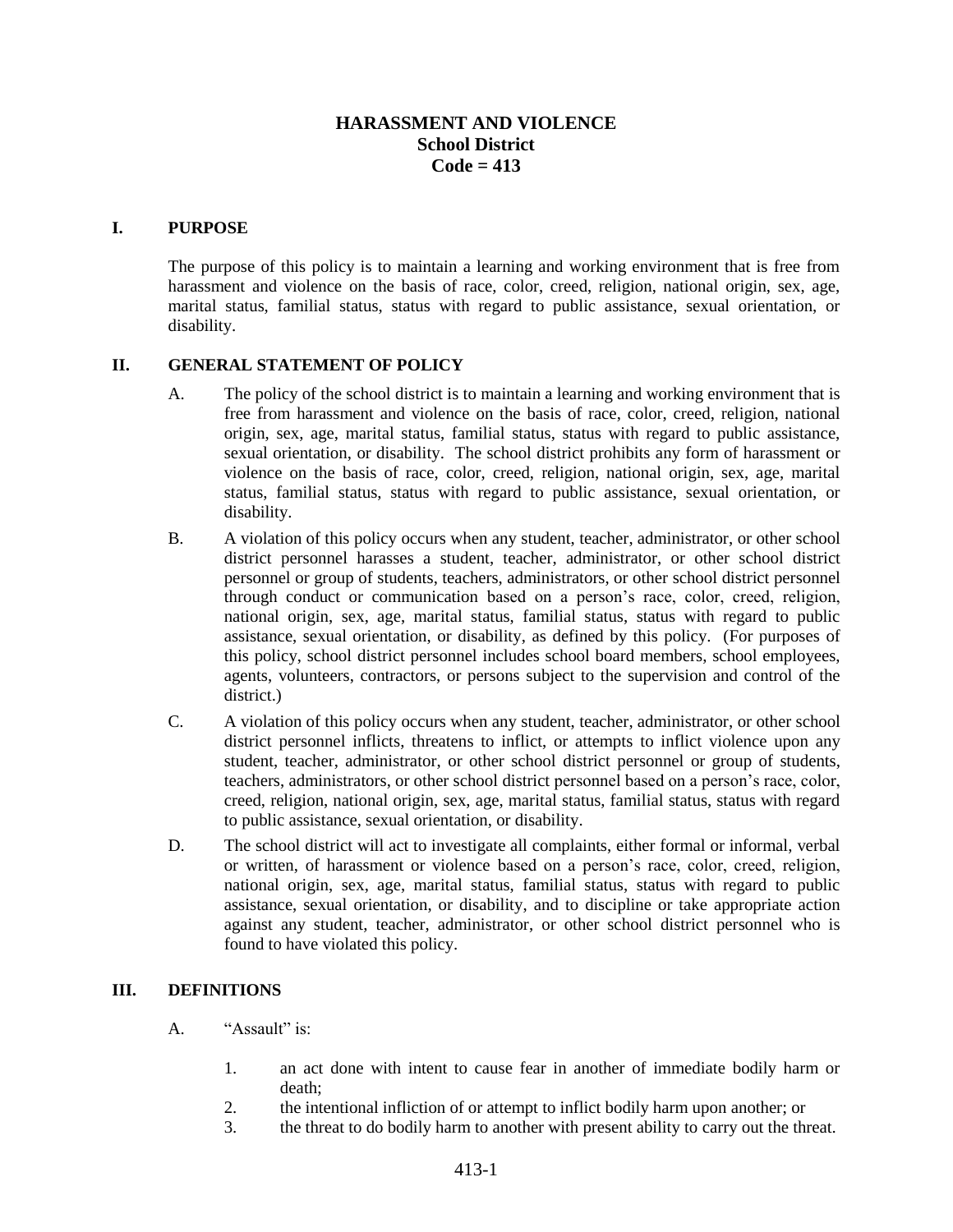# **HARASSMENT AND VIOLENCE School District Code = 413**

### **I. PURPOSE**

The purpose of this policy is to maintain a learning and working environment that is free from harassment and violence on the basis of race, color, creed, religion, national origin, sex, age, marital status, familial status, status with regard to public assistance, sexual orientation, or disability.

#### **II. GENERAL STATEMENT OF POLICY**

- A. The policy of the school district is to maintain a learning and working environment that is free from harassment and violence on the basis of race, color, creed, religion, national origin, sex, age, marital status, familial status, status with regard to public assistance, sexual orientation, or disability. The school district prohibits any form of harassment or violence on the basis of race, color, creed, religion, national origin, sex, age, marital status, familial status, status with regard to public assistance, sexual orientation, or disability.
- B. A violation of this policy occurs when any student, teacher, administrator, or other school district personnel harasses a student, teacher, administrator, or other school district personnel or group of students, teachers, administrators, or other school district personnel through conduct or communication based on a person's race, color, creed, religion, national origin, sex, age, marital status, familial status, status with regard to public assistance, sexual orientation, or disability, as defined by this policy. (For purposes of this policy, school district personnel includes school board members, school employees, agents, volunteers, contractors, or persons subject to the supervision and control of the district.)
- C. A violation of this policy occurs when any student, teacher, administrator, or other school district personnel inflicts, threatens to inflict, or attempts to inflict violence upon any student, teacher, administrator, or other school district personnel or group of students, teachers, administrators, or other school district personnel based on a person's race, color, creed, religion, national origin, sex, age, marital status, familial status, status with regard to public assistance, sexual orientation, or disability.
- D. The school district will act to investigate all complaints, either formal or informal, verbal or written, of harassment or violence based on a person's race, color, creed, religion, national origin, sex, age, marital status, familial status, status with regard to public assistance, sexual orientation, or disability, and to discipline or take appropriate action against any student, teacher, administrator, or other school district personnel who is found to have violated this policy.

### **III. DEFINITIONS**

- A. "Assault" is:
	- 1. an act done with intent to cause fear in another of immediate bodily harm or death;
	- 2. the intentional infliction of or attempt to inflict bodily harm upon another; or
	- 3. the threat to do bodily harm to another with present ability to carry out the threat.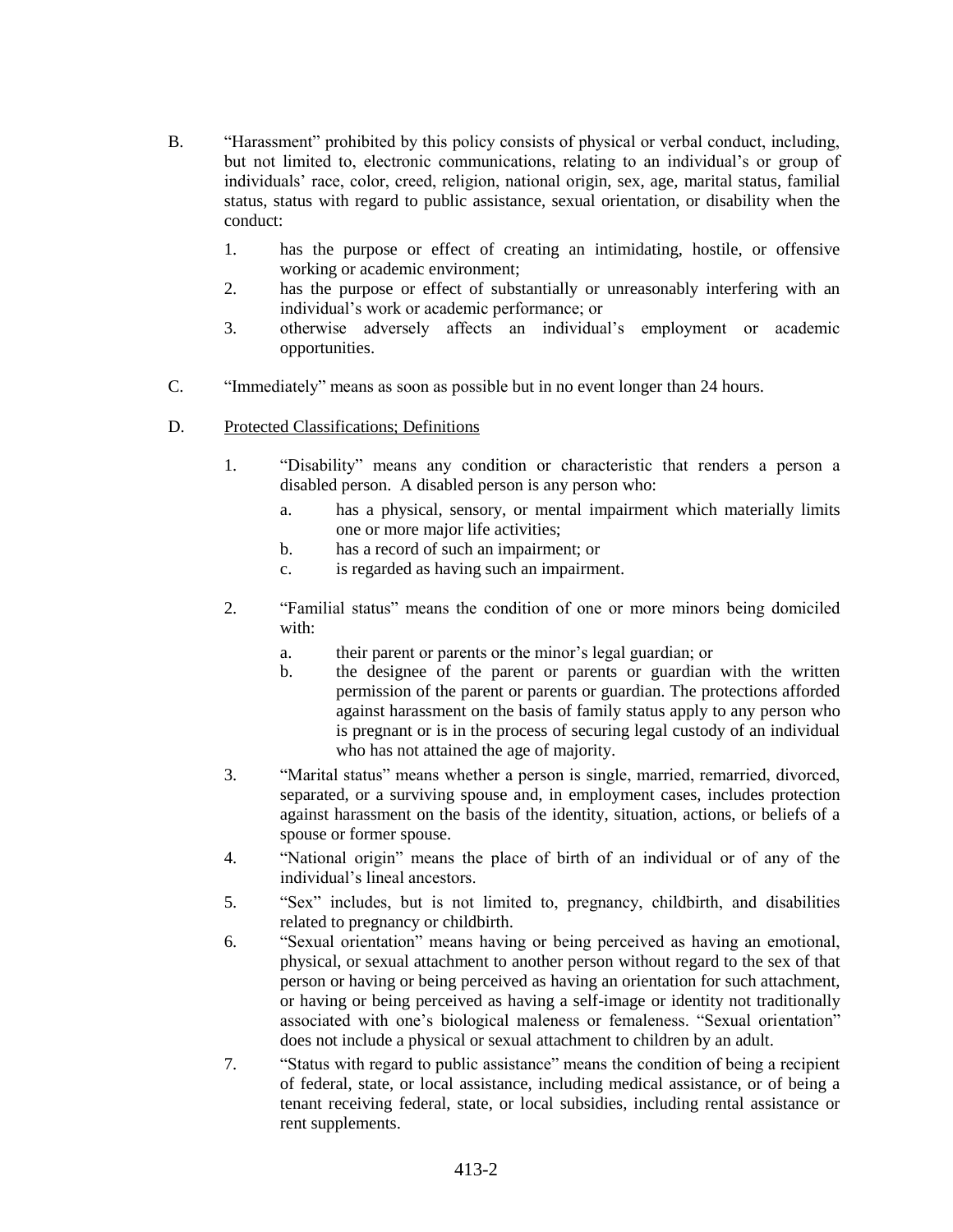- B. "Harassment" prohibited by this policy consists of physical or verbal conduct, including, but not limited to, electronic communications, relating to an individual's or group of individuals' race, color, creed, religion, national origin, sex, age, marital status, familial status, status with regard to public assistance, sexual orientation, or disability when the conduct:
	- 1. has the purpose or effect of creating an intimidating, hostile, or offensive working or academic environment;
	- 2. has the purpose or effect of substantially or unreasonably interfering with an individual's work or academic performance; or
	- 3. otherwise adversely affects an individual's employment or academic opportunities.
- C. "Immediately" means as soon as possible but in no event longer than 24 hours.
- D. Protected Classifications; Definitions
	- 1. "Disability" means any condition or characteristic that renders a person a disabled person. A disabled person is any person who:
		- a. has a physical, sensory, or mental impairment which materially limits one or more major life activities;
		- b. has a record of such an impairment; or
		- c. is regarded as having such an impairment.
	- 2. "Familial status" means the condition of one or more minors being domiciled with:
		- a. their parent or parents or the minor's legal guardian; or
		- b. the designee of the parent or parents or guardian with the written permission of the parent or parents or guardian. The protections afforded against harassment on the basis of family status apply to any person who is pregnant or is in the process of securing legal custody of an individual who has not attained the age of majority.
	- 3. "Marital status" means whether a person is single, married, remarried, divorced, separated, or a surviving spouse and, in employment cases, includes protection against harassment on the basis of the identity, situation, actions, or beliefs of a spouse or former spouse.
	- 4. "National origin" means the place of birth of an individual or of any of the individual's lineal ancestors.
	- 5. "Sex" includes, but is not limited to, pregnancy, childbirth, and disabilities related to pregnancy or childbirth.
	- 6. "Sexual orientation" means having or being perceived as having an emotional, physical, or sexual attachment to another person without regard to the sex of that person or having or being perceived as having an orientation for such attachment, or having or being perceived as having a self-image or identity not traditionally associated with one's biological maleness or femaleness. "Sexual orientation" does not include a physical or sexual attachment to children by an adult.
	- 7. "Status with regard to public assistance" means the condition of being a recipient of federal, state, or local assistance, including medical assistance, or of being a tenant receiving federal, state, or local subsidies, including rental assistance or rent supplements.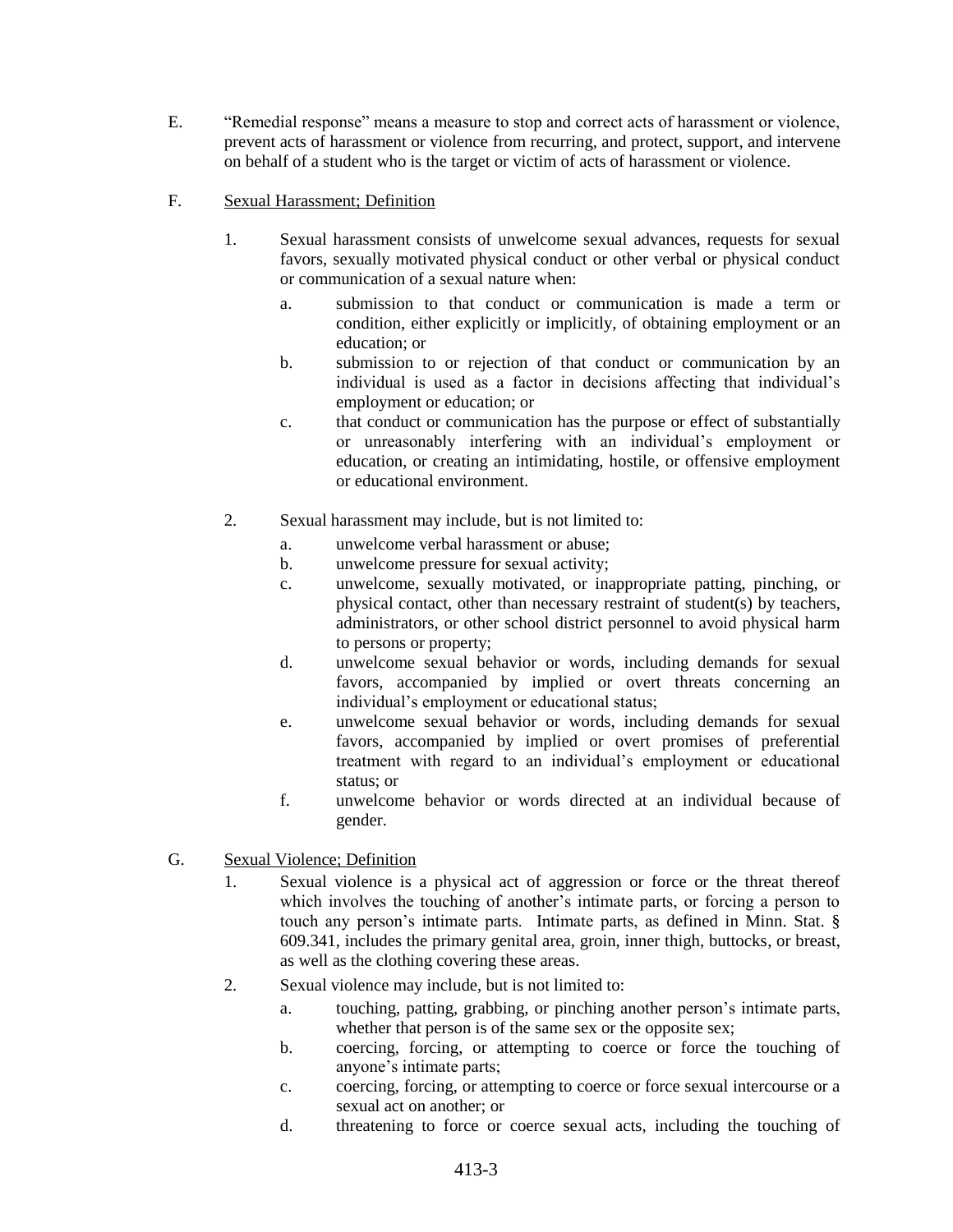- E. "Remedial response" means a measure to stop and correct acts of harassment or violence, prevent acts of harassment or violence from recurring, and protect, support, and intervene on behalf of a student who is the target or victim of acts of harassment or violence.
- F. Sexual Harassment; Definition
	- 1. Sexual harassment consists of unwelcome sexual advances, requests for sexual favors, sexually motivated physical conduct or other verbal or physical conduct or communication of a sexual nature when:
		- a. submission to that conduct or communication is made a term or condition, either explicitly or implicitly, of obtaining employment or an education; or
		- b. submission to or rejection of that conduct or communication by an individual is used as a factor in decisions affecting that individual's employment or education; or
		- c. that conduct or communication has the purpose or effect of substantially or unreasonably interfering with an individual's employment or education, or creating an intimidating, hostile, or offensive employment or educational environment.
	- 2. Sexual harassment may include, but is not limited to:
		- a. unwelcome verbal harassment or abuse;
		- b. unwelcome pressure for sexual activity;
		- c. unwelcome, sexually motivated, or inappropriate patting, pinching, or physical contact, other than necessary restraint of student(s) by teachers, administrators, or other school district personnel to avoid physical harm to persons or property;
		- d. unwelcome sexual behavior or words, including demands for sexual favors, accompanied by implied or overt threats concerning an individual's employment or educational status;
		- e. unwelcome sexual behavior or words, including demands for sexual favors, accompanied by implied or overt promises of preferential treatment with regard to an individual's employment or educational status; or
		- f. unwelcome behavior or words directed at an individual because of gender.
- G. Sexual Violence; Definition
	- 1. Sexual violence is a physical act of aggression or force or the threat thereof which involves the touching of another's intimate parts, or forcing a person to touch any person's intimate parts. Intimate parts, as defined in Minn. Stat. § 609.341, includes the primary genital area, groin, inner thigh, buttocks, or breast, as well as the clothing covering these areas.
	- 2. Sexual violence may include, but is not limited to:
		- a. touching, patting, grabbing, or pinching another person's intimate parts, whether that person is of the same sex or the opposite sex;
		- b. coercing, forcing, or attempting to coerce or force the touching of anyone's intimate parts;
		- c. coercing, forcing, or attempting to coerce or force sexual intercourse or a sexual act on another; or
		- d. threatening to force or coerce sexual acts, including the touching of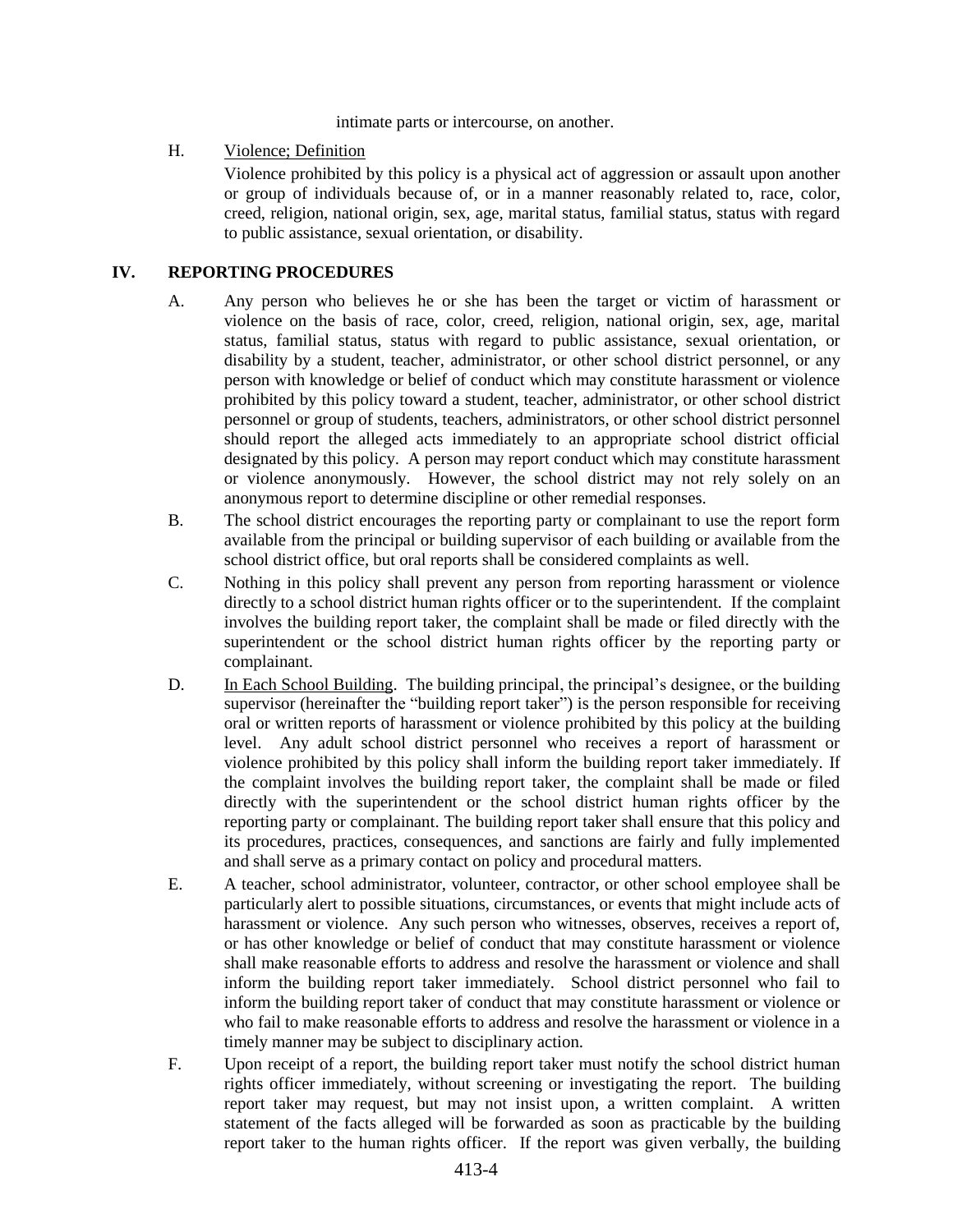intimate parts or intercourse, on another.

H. Violence; Definition

Violence prohibited by this policy is a physical act of aggression or assault upon another or group of individuals because of, or in a manner reasonably related to, race, color, creed, religion, national origin, sex, age, marital status, familial status, status with regard to public assistance, sexual orientation, or disability.

#### **IV. REPORTING PROCEDURES**

- A. Any person who believes he or she has been the target or victim of harassment or violence on the basis of race, color, creed, religion, national origin, sex, age, marital status, familial status, status with regard to public assistance, sexual orientation, or disability by a student, teacher, administrator, or other school district personnel, or any person with knowledge or belief of conduct which may constitute harassment or violence prohibited by this policy toward a student, teacher, administrator, or other school district personnel or group of students, teachers, administrators, or other school district personnel should report the alleged acts immediately to an appropriate school district official designated by this policy. A person may report conduct which may constitute harassment or violence anonymously. However, the school district may not rely solely on an anonymous report to determine discipline or other remedial responses.
- B. The school district encourages the reporting party or complainant to use the report form available from the principal or building supervisor of each building or available from the school district office, but oral reports shall be considered complaints as well.
- C. Nothing in this policy shall prevent any person from reporting harassment or violence directly to a school district human rights officer or to the superintendent. If the complaint involves the building report taker, the complaint shall be made or filed directly with the superintendent or the school district human rights officer by the reporting party or complainant.
- D. In Each School Building. The building principal, the principal's designee, or the building supervisor (hereinafter the "building report taker") is the person responsible for receiving oral or written reports of harassment or violence prohibited by this policy at the building level. Any adult school district personnel who receives a report of harassment or violence prohibited by this policy shall inform the building report taker immediately. If the complaint involves the building report taker, the complaint shall be made or filed directly with the superintendent or the school district human rights officer by the reporting party or complainant. The building report taker shall ensure that this policy and its procedures, practices, consequences, and sanctions are fairly and fully implemented and shall serve as a primary contact on policy and procedural matters.
- E. A teacher, school administrator, volunteer, contractor, or other school employee shall be particularly alert to possible situations, circumstances, or events that might include acts of harassment or violence. Any such person who witnesses, observes, receives a report of, or has other knowledge or belief of conduct that may constitute harassment or violence shall make reasonable efforts to address and resolve the harassment or violence and shall inform the building report taker immediately. School district personnel who fail to inform the building report taker of conduct that may constitute harassment or violence or who fail to make reasonable efforts to address and resolve the harassment or violence in a timely manner may be subject to disciplinary action.
- F. Upon receipt of a report, the building report taker must notify the school district human rights officer immediately, without screening or investigating the report. The building report taker may request, but may not insist upon, a written complaint. A written statement of the facts alleged will be forwarded as soon as practicable by the building report taker to the human rights officer. If the report was given verbally, the building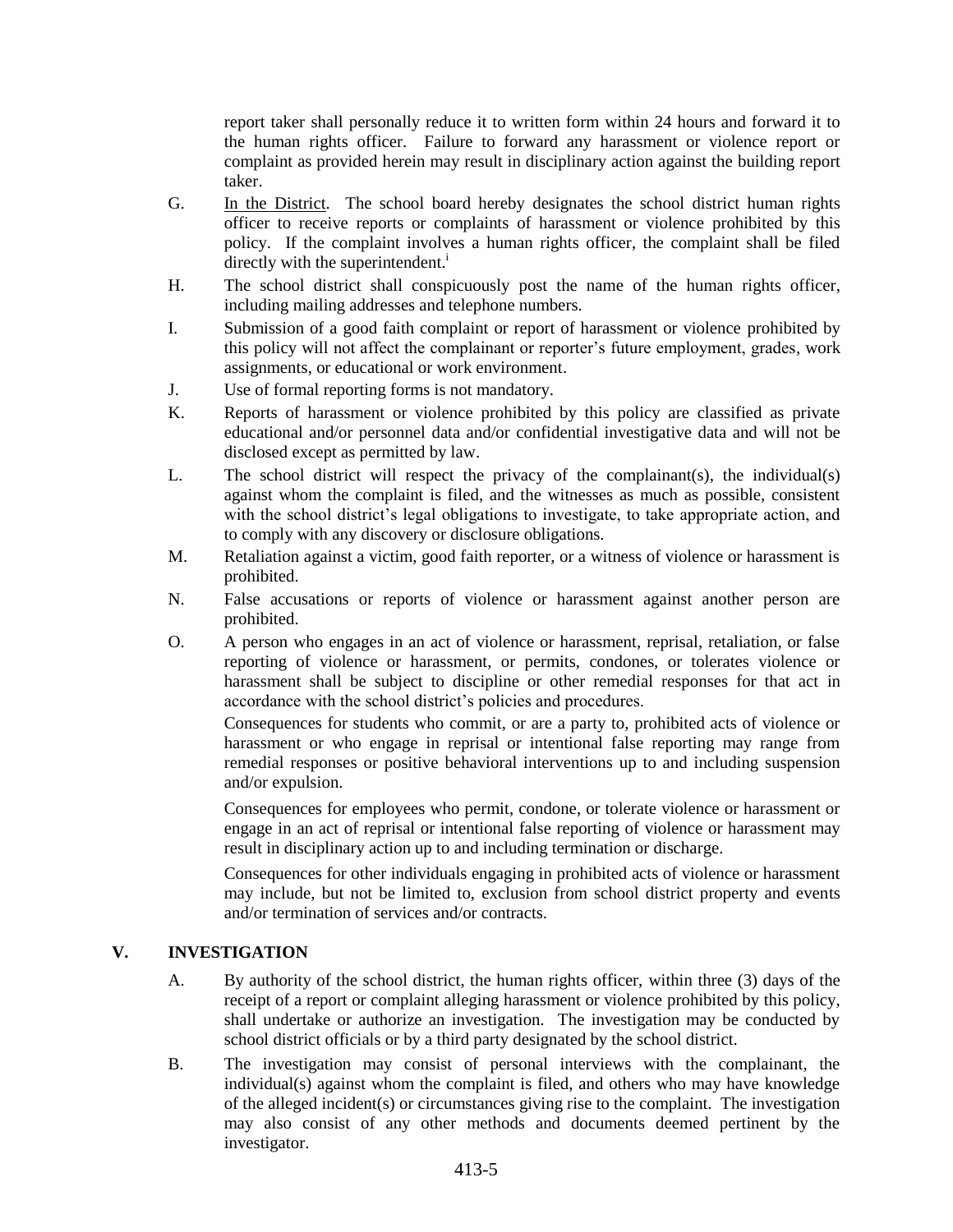report taker shall personally reduce it to written form within 24 hours and forward it to the human rights officer. Failure to forward any harassment or violence report or complaint as provided herein may result in disciplinary action against the building report taker.

- G. In the District. The school board hereby designates the school district human rights officer to receive reports or complaints of harassment or violence prohibited by this policy. If the complaint involves a human rights officer, the complaint shall be filed directly with the superintendent.<sup>i</sup>
- H. The school district shall conspicuously post the name of the human rights officer, including mailing addresses and telephone numbers.
- I. Submission of a good faith complaint or report of harassment or violence prohibited by this policy will not affect the complainant or reporter's future employment, grades, work assignments, or educational or work environment.
- J. Use of formal reporting forms is not mandatory.
- K. Reports of harassment or violence prohibited by this policy are classified as private educational and/or personnel data and/or confidential investigative data and will not be disclosed except as permitted by law.
- L. The school district will respect the privacy of the complainant(s), the individual(s) against whom the complaint is filed, and the witnesses as much as possible, consistent with the school district's legal obligations to investigate, to take appropriate action, and to comply with any discovery or disclosure obligations.
- M. Retaliation against a victim, good faith reporter, or a witness of violence or harassment is prohibited.
- N. False accusations or reports of violence or harassment against another person are prohibited.
- O. A person who engages in an act of violence or harassment, reprisal, retaliation, or false reporting of violence or harassment, or permits, condones, or tolerates violence or harassment shall be subject to discipline or other remedial responses for that act in accordance with the school district's policies and procedures.

Consequences for students who commit, or are a party to, prohibited acts of violence or harassment or who engage in reprisal or intentional false reporting may range from remedial responses or positive behavioral interventions up to and including suspension and/or expulsion.

Consequences for employees who permit, condone, or tolerate violence or harassment or engage in an act of reprisal or intentional false reporting of violence or harassment may result in disciplinary action up to and including termination or discharge.

Consequences for other individuals engaging in prohibited acts of violence or harassment may include, but not be limited to, exclusion from school district property and events and/or termination of services and/or contracts.

# **V. INVESTIGATION**

- A. By authority of the school district, the human rights officer, within three (3) days of the receipt of a report or complaint alleging harassment or violence prohibited by this policy, shall undertake or authorize an investigation. The investigation may be conducted by school district officials or by a third party designated by the school district.
- B. The investigation may consist of personal interviews with the complainant, the individual(s) against whom the complaint is filed, and others who may have knowledge of the alleged incident(s) or circumstances giving rise to the complaint. The investigation may also consist of any other methods and documents deemed pertinent by the investigator.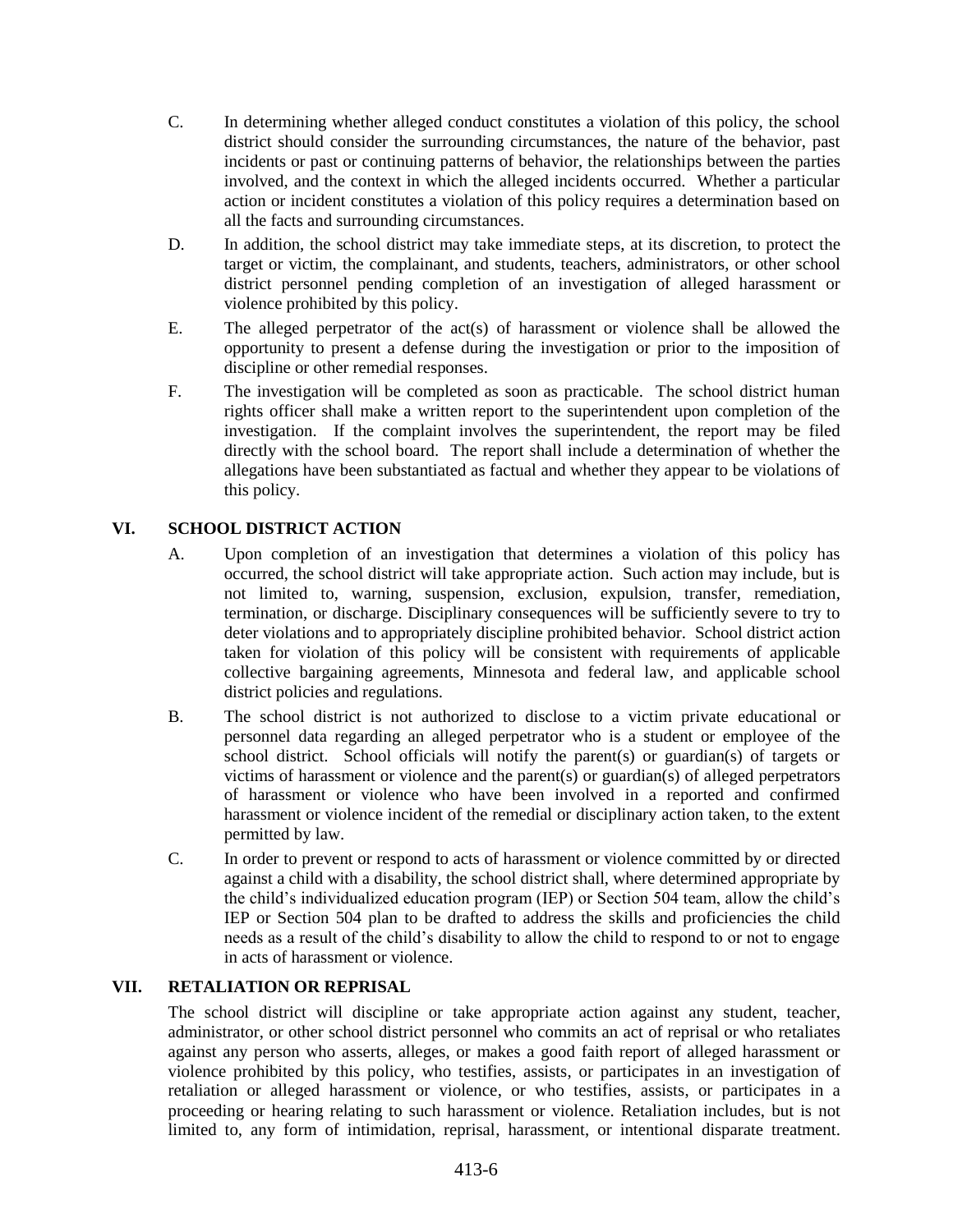- C. In determining whether alleged conduct constitutes a violation of this policy, the school district should consider the surrounding circumstances, the nature of the behavior, past incidents or past or continuing patterns of behavior, the relationships between the parties involved, and the context in which the alleged incidents occurred. Whether a particular action or incident constitutes a violation of this policy requires a determination based on all the facts and surrounding circumstances.
- D. In addition, the school district may take immediate steps, at its discretion, to protect the target or victim, the complainant, and students, teachers, administrators, or other school district personnel pending completion of an investigation of alleged harassment or violence prohibited by this policy.
- E. The alleged perpetrator of the act(s) of harassment or violence shall be allowed the opportunity to present a defense during the investigation or prior to the imposition of discipline or other remedial responses.
- F. The investigation will be completed as soon as practicable. The school district human rights officer shall make a written report to the superintendent upon completion of the investigation. If the complaint involves the superintendent, the report may be filed directly with the school board. The report shall include a determination of whether the allegations have been substantiated as factual and whether they appear to be violations of this policy.

# **VI. SCHOOL DISTRICT ACTION**

- A. Upon completion of an investigation that determines a violation of this policy has occurred, the school district will take appropriate action. Such action may include, but is not limited to, warning, suspension, exclusion, expulsion, transfer, remediation, termination, or discharge. Disciplinary consequences will be sufficiently severe to try to deter violations and to appropriately discipline prohibited behavior. School district action taken for violation of this policy will be consistent with requirements of applicable collective bargaining agreements, Minnesota and federal law, and applicable school district policies and regulations.
- B. The school district is not authorized to disclose to a victim private educational or personnel data regarding an alleged perpetrator who is a student or employee of the school district. School officials will notify the parent(s) or guardian(s) of targets or victims of harassment or violence and the parent(s) or guardian(s) of alleged perpetrators of harassment or violence who have been involved in a reported and confirmed harassment or violence incident of the remedial or disciplinary action taken, to the extent permitted by law.
- C. In order to prevent or respond to acts of harassment or violence committed by or directed against a child with a disability, the school district shall, where determined appropriate by the child's individualized education program (IEP) or Section 504 team, allow the child's IEP or Section 504 plan to be drafted to address the skills and proficiencies the child needs as a result of the child's disability to allow the child to respond to or not to engage in acts of harassment or violence.

### **VII. RETALIATION OR REPRISAL**

The school district will discipline or take appropriate action against any student, teacher, administrator, or other school district personnel who commits an act of reprisal or who retaliates against any person who asserts, alleges, or makes a good faith report of alleged harassment or violence prohibited by this policy, who testifies, assists, or participates in an investigation of retaliation or alleged harassment or violence, or who testifies, assists, or participates in a proceeding or hearing relating to such harassment or violence. Retaliation includes, but is not limited to, any form of intimidation, reprisal, harassment, or intentional disparate treatment.